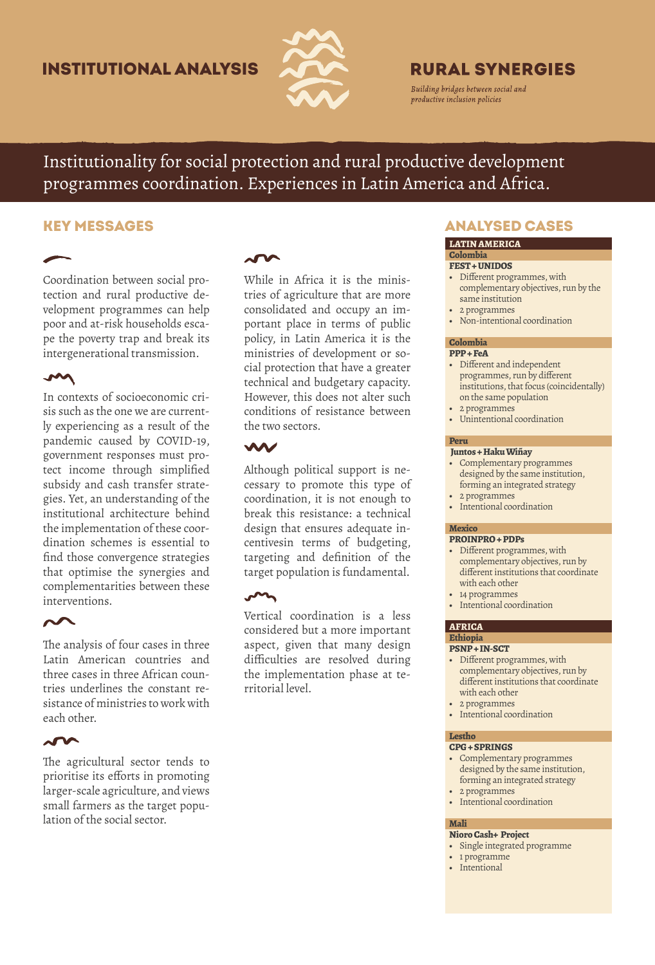# Institutional Analysis



# **RURAL SYNERGIES**

Building bridges between social and productive inclusion policies

Institutionality for social protection and rural productive development programmes coordination. Experiences in Latin America and Africa.

Coordination between social protection and rural productive development programmes can help poor and at-risk households escape the poverty trap and break its intergenerational transmission.

# **M**

In contexts of socioeconomic crisis such as the one we are currently experiencing as a result of the pandemic caused by COVID-19, government responses must protect income through simplified subsidy and cash transfer strategies. Yet, an understanding of the institutional architecture behind the implementation of these coordination schemes is essential to find those convergence strategies that optimise the synergies and complementarities between these interventions.

The analysis of four cases in three Latin American countries and three cases in three African countries underlines the constant resistance of ministries to work with each other.

## $\sim$

The agricultural sector tends to prioritise its efforts in promoting larger-scale agriculture, and views small farmers as the target population of the social sector.

# $\overline{\phantom{a}}$

While in Africa it is the ministries of agriculture that are more consolidated and occupy an important place in terms of public policy, in Latin America it is the ministries of development or social protection that have a greater technical and budgetary capacity. However, this does not alter such conditions of resistance between the two sectors.

# W

Although political support is necessary to promote this type of coordination, it is not enough to break this resistance: a technical design that ensures adequate incentivesin terms of budgeting, targeting and definition of the target population is fundamental.

### $\sim$

Vertical coordination is a less considered but a more important aspect, given that many design difficulties are resolved during the implementation phase at territorial level.

# KEY MESSAGES ANALYSED CASES

### **LATIN AMERICA Colombia**

### **FEST + UNIDOS**

- **•** Different programmes, with complementary objectives, run by the same institution
- **•** 2 programmes
- **•** Non-intentional coordination

#### **Colombia PPP + FeA**

- **•** Different and independent programmes, run by different institutions, that focus (coincidentally) on the same population
- **•** 2 programmes
- **•** Unintentional coordination

#### **Peru Juntos + Haku Wiñay**

- **•** Complementary programmes designed by the same institution, forming an integrated strategy
- **•** 2 programmes
- **•** Intentional coordination

### **Mexico**

### **PROINPRO + PDPs**

- **•** Different programmes, with complementary objectives, run by different institutions that coordinate with each other
- **•** 14 programmes
- **•** Intentional coordination

### **AFRICA Ethiopia**

### **PSNP + IN-SCT**

- **•** Different programmes, with complementary objectives, run by different institutions that coordinate with each other
- **•** 2 programmes
- **•** Intentional coordination

### **Lestho**

## **CPG + SPRINGS**

- **•** Complementary programmes designed by the same institution, forming an integrated strategy
- **•** 2 programmes
- **•** Intentional coordination

### **Mali**

- **Nioro Cash+ Project •** Single integrated programme
- **•** 1 programme
- **•** Intentional